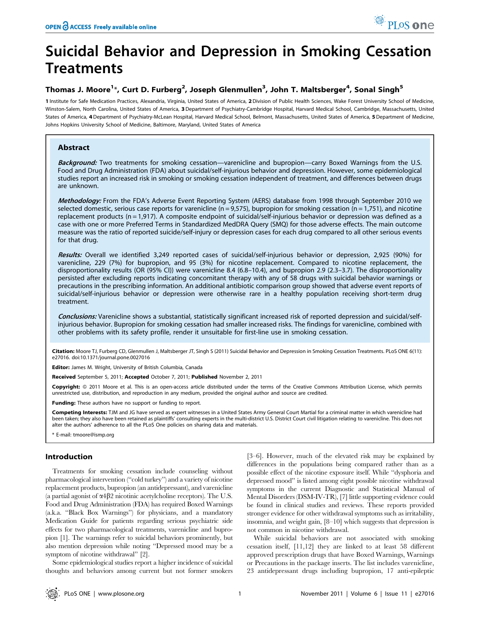# Suicidal Behavior and Depression in Smoking Cessation **Treatments**

## Thomas J. Moore<sup>1</sup>\*, Curt D. Furberg<sup>2</sup>, Joseph Glenmullen<sup>3</sup>, John T. Maltsberger<sup>4</sup>, Sonal Singh<sup>5</sup>

1 Institute for Safe Medication Practices, Alexandria, Virginia, United States of America, 2Division of Public Health Sciences, Wake Forest University School of Medicine, Winston-Salem, North Carolina, United States of America, 3 Department of Psychiatry-Cambridge Hospital, Harvard Medical School, Cambridge, Massachusetts, United States of America, 4 Department of Psychiatry-McLean Hospital, Harvard Medical School, Belmont, Massachusetts, United States of America, 5 Department of Medicine, Johns Hopkins University School of Medicine, Baltimore, Maryland, United States of America

## Abstract

Background: Two treatments for smoking cessation—varenicline and bupropion—carry Boxed Warnings from the U.S. Food and Drug Administration (FDA) about suicidal/self-injurious behavior and depression. However, some epidemiological studies report an increased risk in smoking or smoking cessation independent of treatment, and differences between drugs are unknown.

Methodology: From the FDA's Adverse Event Reporting System (AERS) database from 1998 through September 2010 we selected domestic, serious case reports for varenicline ( $n = 9.575$ ), bupropion for smoking cessation ( $n = 1.751$ ), and nicotine replacement products (n = 1,917). A composite endpoint of suicidal/self-injurious behavior or depression was defined as a case with one or more Preferred Terms in Standardized MedDRA Query (SMQ) for those adverse effects. The main outcome measure was the ratio of reported suicide/self-injury or depression cases for each drug compared to all other serious events for that drug.

Results: Overall we identified 3,249 reported cases of suicidal/self-injurious behavior or depression, 2,925 (90%) for varenicline, 229 (7%) for bupropion, and 95 (3%) for nicotine replacement. Compared to nicotine replacement, the disproportionality results (OR (95% CI)) were varenicline 8.4 (6.8–10.4), and bupropion 2.9 (2.3–3.7). The disproportionality persisted after excluding reports indicating concomitant therapy with any of 58 drugs with suicidal behavior warnings or precautions in the prescribing information. An additional antibiotic comparison group showed that adverse event reports of suicidal/self-injurious behavior or depression were otherwise rare in a healthy population receiving short-term drug treatment.

Conclusions: Varenicline shows a substantial, statistically significant increased risk of reported depression and suicidal/selfinjurious behavior. Bupropion for smoking cessation had smaller increased risks. The findings for varenicline, combined with other problems with its safety profile, render it unsuitable for first-line use in smoking cessation.

Citation: Moore TJ, Furberg CD, Glenmullen J, Maltsberger JT, Singh S (2011) Suicidal Behavior and Depression in Smoking Cessation Treatments. PLoS ONE 6(11): e27016. doi:10.1371/journal.pone.0027016

Editor: James M. Wright, University of British Columbia, Canada

Received September 5, 2011; Accepted October 7, 2011; Published November 2, 2011

Copyright: © 2011 Moore et al. This is an open-access article distributed under the terms of the Creative Commons Attribution License, which permits unrestricted use, distribution, and reproduction in any medium, provided the original author and source are credited.

Funding: These authors have no support or funding to report.

Competing Interests: TJM and JG have served as expert witnesses in a United States Army General Court Martial for a criminal matter in which varenicline had been taken; they also have been retained as plaintiffs' consulting experts in the multi-district U.S. District Court civil litigation relating to varenicline. This does not alter the authors' adherence to all the PLoS One policies on sharing data and materials.

\* E-mail: tmoore@ismp.org

## Introduction

Treatments for smoking cessation include counseling without pharmacological intervention (''cold turkey'') and a variety of nicotine replacement products, bupropion (an antidepressant), and varenicline (a partial agonist of  $\alpha$ 4 $\beta$ 2 nicotinic acetylcholine receptors). The U.S. Food and Drug Administration (FDA) has required Boxed Warnings (a.k.a. ''Black Box Warnings'') for physicians, and a mandatory Medication Guide for patients regarding serious psychiatric side effects for two pharmacological treatments, varenicline and bupropion [1]. The warnings refer to suicidal behaviors prominently, but also mention depression while noting ''Depressed mood may be a symptom of nicotine withdrawal'' [2].

Some epidemiological studies report a higher incidence of suicidal thoughts and behaviors among current but not former smokers

[3–6]. However, much of the elevated risk may be explained by differences in the populations being compared rather than as a possible effect of the nicotine exposure itself. While ''dysphoria and depressed mood'' is listed among eight possible nicotine withdrawal symptoms in the current Diagnostic and Statistical Manual of Mental Disorders (DSM-IV-TR), [7] little supporting evidence could be found in clinical studies and reviews. These reports provided stronger evidence for other withdrawal symptoms such as irritability, insomnia, and weight gain, [8–10] which suggests that depression is not common in nicotine withdrawal.

While suicidal behaviors are not associated with smoking cessation itself, [11,12] they are linked to at least 58 different approved prescription drugs that have Boxed Warnings, Warnings or Precautions in the package inserts. The list includes varenicline, 23 antidepressant drugs including bupropion, 17 anti-epileptic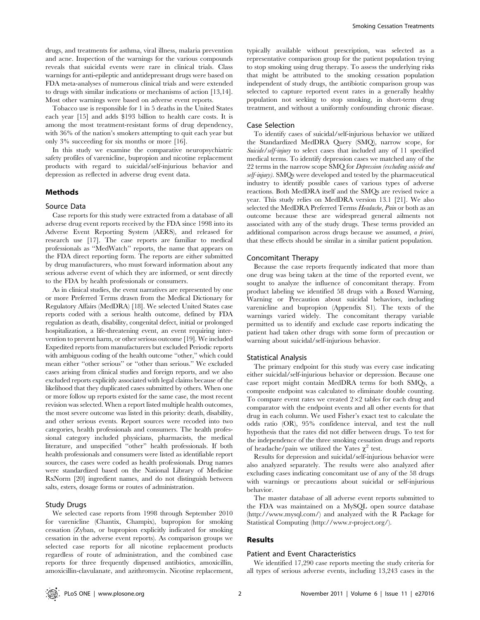drugs, and treatments for asthma, viral illness, malaria prevention and acne. Inspection of the warnings for the various compounds reveals that suicidal events were rare in clinical trials. Class warnings for anti-epileptic and antidepressant drugs were based on FDA meta-analyses of numerous clinical trials and were extended to drugs with similar indications or mechanisms of action [13,14]. Most other warnings were based on adverse event reports.

Tobacco use is responsible for 1 in 5 deaths in the United States each year [15] and adds \$193 billion to health care costs. It is among the most treatment-resistant forms of drug dependency, with 36% of the nation's smokers attempting to quit each year but only 3% succeeding for six months or more [16].

In this study we examine the comparative neuropsychiatric safety profiles of varenicline, bupropion and nicotine replacement products with regard to suicidal/self-injurious behavior and depression as reflected in adverse drug event data.

## Methods

#### Source Data

Case reports for this study were extracted from a database of all adverse drug event reports received by the FDA since 1998 into its Adverse Event Reporting System (AERS), and released for research use [17]. The case reports are familiar to medical professionals as ''MedWatch'' reports, the name that appears on the FDA direct reporting form. The reports are either submitted by drug manufacturers, who must forward information about any serious adverse event of which they are informed, or sent directly to the FDA by health professionals or consumers.

As in clinical studies, the event narratives are represented by one or more Preferred Terms drawn from the Medical Dictionary for Regulatory Affairs (MedDRA) [18]. We selected United States case reports coded with a serious health outcome, defined by FDA regulation as death, disability, congenital defect, initial or prolonged hospitalization, a life-threatening event, an event requiring intervention to prevent harm, or other serious outcome [19]. We included Expedited reports from manufacturers but excluded Periodic reports with ambiguous coding of the health outcome "other," which could mean either ''other serious'' or ''other than serious.'' We excluded cases arising from clinical studies and foreign reports, and we also excluded reports explicitly associated with legal claims because of the likelihood that they duplicated cases submitted by others. When one or more follow up reports existed for the same case, the most recent revision was selected. When a report listed multiple health outcomes, the most severe outcome was listed in this priority: death, disability, and other serious events. Report sources were recoded into two categories, health professionals and consumers. The health professional category included physicians, pharmacists, the medical literature, and unspecified ''other'' health professionals. If both health professionals and consumers were listed as identifiable report sources, the cases were coded as health professionals. Drug names were standardized based on the National Library of Medicine RxNorm [20] ingredient names, and do not distinguish between salts, esters, dosage forms or routes of administration.

### Study Drugs

We selected case reports from 1998 through September 2010 for varenicline (Chantix, Champix), bupropion for smoking cessation (Zyban, or bupropion explicitly indicated for smoking cessation in the adverse event reports). As comparison groups we selected case reports for all nicotine replacement products regardless of route of administration, and the combined case reports for three frequently dispensed antibiotics, amoxicillin, amoxicillin-clavulanate, and azithromycin. Nicotine replacement,

typically available without prescription, was selected as a representative comparison group for the patient population trying to stop smoking using drug therapy. To assess the underlying risks that might be attributed to the smoking cessation population independent of study drugs, the antibiotic comparison group was selected to capture reported event rates in a generally healthy population not seeking to stop smoking, in short-term drug treatment, and without a uniformly confounding chronic disease.

#### Case Selection

To identify cases of suicidal/self-injurious behavior we utilized the Standardized MedDRA Query (SMQ), narrow scope, for Suicide/self-injury to select cases that included any of 11 specified medical terms. To identify depression cases we matched any of the 22 terms in the narrow scope SMQ for Depression (excluding suicide and self-injury). SMQs were developed and tested by the pharmaceutical industry to identify possible cases of various types of adverse reactions. Both MedDRA itself and the SMQs are revised twice a year. This study relies on MedDRA version 13.1 [21]. We also selected the MedDRA Preferred Terms Headache, Pain or both as an outcome because these are widespread general ailments not associated with any of the study drugs. These terms provided an additional comparison across drugs because we assumed, a priori, that these effects should be similar in a similar patient population.

#### Concomitant Therapy

Because the case reports frequently indicated that more than one drug was being taken at the time of the reported event, we sought to analyze the influence of concomitant therapy. From product labeling we identified 58 drugs with a Boxed Warning, Warning or Precaution about suicidal behaviors, including varenicline and bupropion (Appendix S1). The texts of the warnings varied widely. The concomitant therapy variable permitted us to identify and exclude case reports indicating the patient had taken other drugs with some form of precaution or warning about suicidal/self-injurious behavior.

## Statistical Analysis

The primary endpoint for this study was every case indicating either suicidal/self-injurious behavior or depression. Because one case report might contain MedDRA terms for both SMQs, a composite endpoint was calculated to eliminate double counting. To compare event rates we created  $2\times 2$  tables for each drug and comparator with the endpoint events and all other events for that drug in each column. We used Fisher's exact test to calculate the odds ratio (OR), 95% confidence interval, and test the null hypothesis that the rates did not differ between drugs. To test for the independence of the three smoking cessation drugs and reports of headache/pain we utilized the Yates  $\chi^2$  test.

Results for depression and suicidal/self-injurious behavior were also analyzed separately. The results were also analyzed after excluding cases indicating concomitant use of any of the 58 drugs with warnings or precautions about suicidal or self-injurious behavior.

The master database of all adverse event reports submitted to the FDA was maintained on a MySQL open source database (http://www.mysql.com/) and analyzed with the R Package for Statistical Computing (http://www.r-project.org/).

## Results

#### Patient and Event Characteristics

We identified 17,290 case reports meeting the study criteria for all types of serious adverse events, including 13,243 cases in the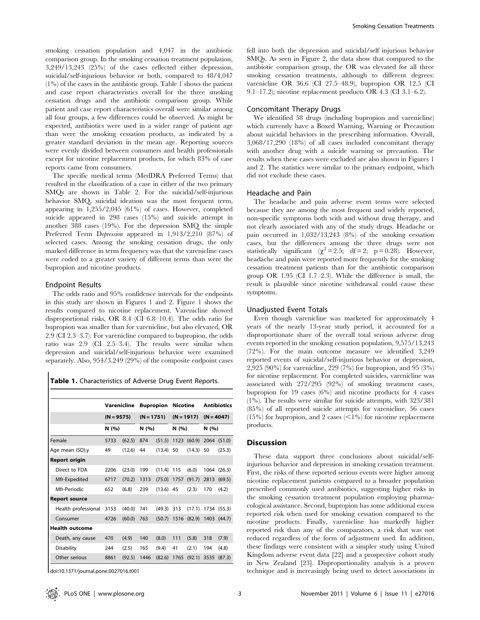smoking cessation population and 4,047 in the antibiotic comparison group. In the smoking cessation treatment population, 3,249/13,243 (25%) of the cases reflected either depression, suicidal/self-injurious behavior or both, compared to 48/4,047 (1%) of the cases in the antibiotic group. Table 1 shows the patient and case report characteristics overall for the three smoking cessation drugs and the antibiotic comparison group. While patient and case report characteristics overall were similar among all four groups, a few differences could be observed. As might be expected, antibiotics were used in a wider range of patient age than were the smoking cessation products, as indicated by a greater standard deviation in the mean age. Reporting sources were evenly divided between consumers and health professionals except for nicotine replacement products, for which 83% of case reports came from consumers.

The specific medical terms (MedDRA Preferred Terms) that resulted in the classification of a case in either of the two primary SMQs are shown in Table 2. For the suicidal/self-injurious behavior SMQ, suicidal ideation was the most frequent term, appearing in 1,255/2,045 (61%) of cases. However, completed suicide appeared in 298 cases (15%) and suicide attempt in another 388 cases (19%). For the depression SMQ the simple Preferred Term Depression appeared in 1,913/2,210 (87%) of selected cases. Among the smoking cessation drugs, the only marked difference in term frequency was that the varenicline cases were coded to a greater variety of different terms than were the bupropion and nicotine products.

### Endpoint Results

The odds ratio and 95% confidence intervals for the endpoints in this study are shown in Figures 1 and 2. Figure 1 shows the results compared to nicotine replacement. Varenicline showed disproportional risks, OR 8.4 (CI 6.8–10.4). The odds ratio for bupropion was smaller than for varenicline, but also elevated, OR 2.9 (CI 2.3–3.7). For varenicline compared to bupropion, the odds ratio was 2.9 (CI 2.5–3.4). The results were similar when depression and suicidal/self-injurious behavior were examined separately. Also, 954/3,249 (29%) of the composite endpoint cases

|                       | Varenicline<br>$(N = 9575)$<br>N (%) |        | <b>Bupropion</b><br>$(N = 1751)$<br>N (%) |        | <b>Nicotine</b> |              | <b>Antibiotics</b> |             |
|-----------------------|--------------------------------------|--------|-------------------------------------------|--------|-----------------|--------------|--------------------|-------------|
|                       |                                      |        |                                           |        |                 | $(N = 1917)$ | $(N = 4047)$       |             |
|                       |                                      |        |                                           |        | N(96)           |              | N (%)              |             |
| Female                | 5733                                 | (62.5) | 874                                       | (51.5) |                 | 1123 (60.9)  |                    | 2064 (51.0) |
| Age mean (SD),y       | 49                                   | (12.6) | 44                                        | (13.4) | 50              | (14.3)       | 50                 | (25.3)      |
| Report origin         |                                      |        |                                           |        |                 |              |                    |             |
| Direct to FDA         | 2206                                 | (23.0) | 199                                       | (11.4) | 115             | (6.0)        |                    | 1064 (26.3) |
| Mfr-Expedited         | 6717                                 | (70.2) | 1313                                      | (75.0) | 1757            | (91.7)       | 2813               | (69.5)      |
| Mfr-Periodic          | 652                                  | (6.8)  | 239                                       | (13.6) | 45              | (2.3)        | 170                | (4.2)       |
| <b>Report source</b>  |                                      |        |                                           |        |                 |              |                    |             |
| Health professional   | 3153                                 | (40.0) | 741                                       | (49.3) | 313             | (17.1)       | 1734               | (55.3)      |
| Consumer              | 4726                                 | (60.0) | 763                                       | (50.7) |                 | 1516 (82.9)  | 1403               | (44.7)      |
| <b>Health outcome</b> |                                      |        |                                           |        |                 |              |                    |             |
| Death, any cause      | 470                                  | (4.9)  | 140                                       | (8.0)  | 111             | (5.8)        | 318                | (7.9)       |
| <b>Disability</b>     | 244                                  | (2.5)  | 165                                       | (9.4)  | 41              | (2.1)        | 194                | (4.8)       |
| Other serious         | 8861                                 | (92.5) | 1446                                      | (82.6) | 1765            | (92.1)       | 3535               | (87.3)      |

doi:10.1371/journal.pone.0027016.t001

fell into both the depression and suicidal/self injurious behavior SMQs. As seen in Figure 2, the data show that compared to the antibiotic comparison group, the OR was elevated for all three smoking cessation treatments, although to different degrees: varenicline OR 36.6 (CI 27.5–48.9), bupropion OR 12.5 (CI 9.1–17.2); nicotine replacement products OR 4.3 (CI 3.1–6.2).

## Concomitant Therapy Drugs

We identified 58 drugs (including bupropion and varenicline) which currently have a Boxed Warning, Warning or Precaution about suicidal behaviors in the prescribing information. Overall, 3,068/17,290 (18%) of all cases included concomitant therapy with another drug with a suicide warning or precaution. The results when these cases were excluded are also shown in Figures 1 and 2. The statistics were similar to the primary endpoint, which did not exclude these cases.

## Headache and Pain

The headache and pain adverse event terms were selected because they are among the most frequent and widely reported, non-specific symptoms both with and without drug therapy, and not clearly associated with any of the study drugs. Headache or pain occurred in 1,032/13,243 (8%) of the smoking cessation cases, but the differences among the three drugs were not statistically significant  $(\chi^2 = 2.5; \ df = 2; \ p = 0.28)$ . However, headache and pain were reported more frequently for the smoking cessation treatment patients than for the antibiotic comparison group OR 1.95 (CI 1.7–2.3). While the difference is small, the result is plausible since nicotine withdrawal could cause these symptoms.

### Unadjusted Event Totals

Even though varenicline was marketed for approximately 4 years of the nearly 13-year study period, it accounted for a disproportionate share of the overall total serious adverse drug events reported in the smoking cessation population, 9,575/13,243 (72%). For the main outcome measure we identified 3,249 reported events of suicidal/self-injurious behavior or depression, 2,925 (90%) for varenicline, 229 (7%) for bupropion, and 95 (3%) for nicotine replacement. For completed suicides, varenicline was associated with 272/295 (92%) of smoking treatment cases, bupropion for 19 cases (6%) and nicotine products for 4 cases (1%). The results were similar for suicide attempts, with 323/381 (85%) of all reported suicide attempts for varenicline, 56 cases  $(15%)$  for bupropion, and 2 cases  $(<1%)$  for nicotine replacement products.

## **Discussion**

These data support three conclusions about suicidal/selfinjurious behavior and depression in smoking cessation treatment. First, the risks of these reported serious events were higher among nicotine replacement patients compared to a broader population prescribed commonly used antibiotics, suggesting higher risks in the smoking cessation treatment population employing pharmacological assistance. Second, bupropion has some additional excess reported risk when used for smoking cessation compared to the nicotine products. Finally, varenicline has markedly higher reported risk than any of the comparators, a risk that was not reduced regardless of the form of adjustment used. In addition, these findings were consistent with a simpler study using United Kingdom adverse event data [22] and a prospective cohort study in New Zealand [23]. Disproportionality analysis is a proven technique and is increasingly being used to detect associations in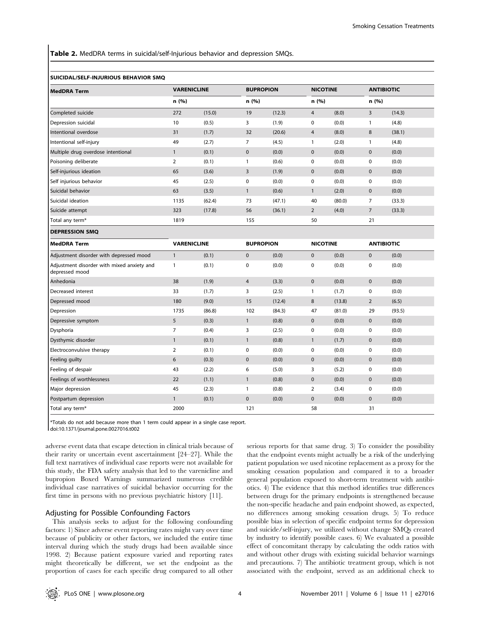Table 2. MedDRA terms in suicidal/self-Injurious behavior and depression SMQs.

#### SUICIDAL/SELF-INJURIOUS BEHAVIOR SMQ

| <b>MedDRA Term</b>                                           | <b>VARENICLINE</b> |        | <b>BUPROPION</b> |        | <b>NICOTINE</b> |        | <b>ANTIBIOTIC</b> |        |
|--------------------------------------------------------------|--------------------|--------|------------------|--------|-----------------|--------|-------------------|--------|
|                                                              | n (%)              |        | n (%)            |        | n (%)           |        | n (%)             |        |
| Completed suicide                                            | 272                | (15.0) | 19               | (12.3) | $\overline{4}$  | (8.0)  | $\mathsf{3}$      | (14.3) |
| Depression suicidal                                          | 10                 | (0.5)  | 3                | (1.9)  | $\pmb{0}$       | (0.0)  | $\mathbf{1}$      | (4.8)  |
| Intentional overdose                                         | 31                 | (1.7)  | 32               | (20.6) | 4               | (8.0)  | 8                 | (38.1) |
| Intentional self-injury                                      | 49                 | (2.7)  | $\overline{7}$   | (4.5)  | 1               | (2.0)  | $\mathbf{1}$      | (4.8)  |
| Multiple drug overdose intentional                           | $\mathbf{1}$       | (0.1)  | $\pmb{0}$        | (0.0)  | $\pmb{0}$       | (0.0)  | $\pmb{0}$         | (0.0)  |
| Poisoning deliberate                                         | 2                  | (0.1)  | $\mathbf{1}$     | (0.6)  | $\pmb{0}$       | (0.0)  | $\pmb{0}$         | (0.0)  |
| Self-injurious ideation                                      | 65                 | (3.6)  | $\mathsf{3}$     | (1.9)  | $\pmb{0}$       | (0.0)  | $\pmb{0}$         | (0.0)  |
| Self injurious behavior                                      | 45                 | (2.5)  | 0                | (0.0)  | $\pmb{0}$       | (0.0)  | 0                 | (0.0)  |
| Suicidal behavior                                            | 63                 | (3.5)  | $\mathbf{1}$     | (0.6)  | $\mathbf{1}$    | (2.0)  | $\pmb{0}$         | (0.0)  |
| Suicidal ideation                                            | 1135               | (62.4) | 73               | (47.1) | 40              | (80.0) | $\overline{7}$    | (33.3) |
| Suicide attempt                                              | 323                | (17.8) | 56               | (36.1) | $\overline{2}$  | (4.0)  | $\sqrt{ }$        | (33.3) |
| Total any term*                                              | 1819               |        | 155              |        | 50              |        | 21                |        |
| <b>DEPRESSION SMQ</b>                                        |                    |        |                  |        |                 |        |                   |        |
| <b>MedDRA Term</b>                                           | <b>VARENICLINE</b> |        | <b>BUPROPION</b> |        | <b>NICOTINE</b> |        | <b>ANTIBIOTIC</b> |        |
| Adjustment disorder with depressed mood                      | $\mathbf{1}$       | (0.1)  | $\mathbf{0}$     | (0.0)  | $\mathbf 0$     | (0.0)  | $\mathbf 0$       | (0.0)  |
| Adjustment disorder with mixed anxiety and<br>depressed mood | 1                  | (0.1)  | 0                | (0.0)  | 0               | (0.0)  | 0                 | (0.0)  |
| Anhedonia                                                    | 38                 | (1.9)  | $\overline{4}$   | (3.3)  | $\pmb{0}$       | (0.0)  | $\pmb{0}$         | (0.0)  |
| Decreased interest                                           | 33                 | (1.7)  | 3                | (2.5)  | 1               | (1.7)  | $\pmb{0}$         | (0.0)  |
| Depressed mood                                               | 180                | (9.0)  | 15               | (12.4) | 8               | (13.8) | $\mathbf 2$       | (6.5)  |
| Depression                                                   | 1735               | (86.8) | 102              | (84.3) | 47              | (81.0) | 29                | (93.5) |
| Depressive symptom                                           | 5                  | (0.3)  | $\mathbf{1}$     | (0.8)  | 0               | (0.0)  | $\pmb{0}$         | (0.0)  |
| Dysphoria                                                    | $\overline{7}$     | (0.4)  | 3                | (2.5)  | 0               | (0.0)  | 0                 | (0.0)  |
| Dysthymic disorder                                           | $\mathbf{1}$       | (0.1)  | $\mathbf{1}$     | (0.8)  | $\mathbf{1}$    | (1.7)  | $\pmb{0}$         | (0.0)  |
| Electroconvulsive therapy                                    | $\overline{2}$     | (0.1)  | 0                | (0.0)  | $\pmb{0}$       | (0.0)  | $\pmb{0}$         | (0.0)  |
| Feeling guilty                                               | 6                  | (0.3)  | $\pmb{0}$        | (0.0)  | 0               | (0.0)  | $\pmb{0}$         | (0.0)  |
| Feeling of despair                                           | 43                 | (2.2)  | 6                | (5.0)  | 3               | (5.2)  | 0                 | (0.0)  |
| Feelings of worthlessness                                    | 22                 | (1.1)  | $\mathbf{1}$     | (0.8)  | 0               | (0.0)  | $\pmb{0}$         | (0.0)  |
| Major depression                                             | 45                 | (2.3)  | $\mathbf{1}$     | (0.8)  | $\overline{2}$  | (3.4)  | 0                 | (0.0)  |
| Postpartum depression                                        | 1                  | (0.1)  | $\pmb{0}$        | (0.0)  | 0               | (0.0)  | $\pmb{0}$         | (0.0)  |
| Total any term*                                              | 2000               |        | 121              |        | 58              |        | 31                |        |

\*Totals do not add because more than 1 term could appear in a single case report.

doi:10.1371/journal.pone.0027016.t002

adverse event data that escape detection in clinical trials because of their rarity or uncertain event ascertainment [24–27]. While the full text narratives of individual case reports were not available for this study, the FDA safety analysis that led to the varenicline and bupropion Boxed Warnings summarized numerous credible individual case narratives of suicidal behavior occurring for the first time in persons with no previous psychiatric history [11].

## Adjusting for Possible Confounding Factors

This analysis seeks to adjust for the following confounding factors: 1) Since adverse event reporting rates might vary over time because of publicity or other factors, we included the entire time interval during which the study drugs had been available since 1998. 2) Because patient exposure varied and reporting rates might theoretically be different, we set the endpoint as the proportion of cases for each specific drug compared to all other serious reports for that same drug. 3) To consider the possibility that the endpoint events might actually be a risk of the underlying patient population we used nicotine replacement as a proxy for the smoking cessation population and compared it to a broader general population exposed to short-term treatment with antibiotics. 4) The evidence that this method identifies true differences between drugs for the primary endpoints is strengthened because the non-specific headache and pain endpoint showed, as expected, no differences among smoking cessation drugs. 5) To reduce possible bias in selection of specific endpoint terms for depression and suicide/self-injury, we utilized without change SMQs created by industry to identify possible cases. 6) We evaluated a possible effect of concomitant therapy by calculating the odds ratios with and without other drugs with existing suicidal behavior warnings and precautions. 7) The antibiotic treatment group, which is not associated with the endpoint, served as an additional check to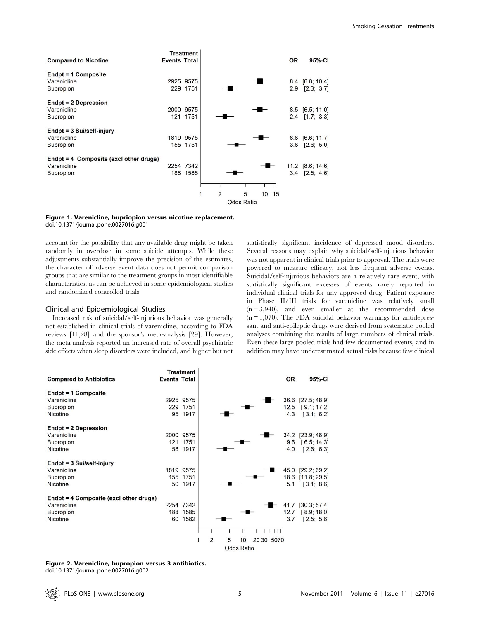|                                                                             |                     | <b>Treatment</b>      |                     |                   |                 |    |           |                                          |
|-----------------------------------------------------------------------------|---------------------|-----------------------|---------------------|-------------------|-----------------|----|-----------|------------------------------------------|
| <b>Compared to Nicotine</b>                                                 | <b>Events Total</b> |                       |                     |                   |                 |    | <b>OR</b> | 95%-CI                                   |
| Endpt = 1 Composite<br>Varenicline<br><b>Bupropion</b>                      |                     | 2925 9575<br>229 1751 |                     |                   |                 |    |           | 8.4 [6.8; 10.4]<br>2.9 [2.3; 3.7]        |
| Endpt = 2 Depression<br>Varenicline<br><b>Bupropion</b>                     | 121                 | 2000 9575<br>1751     |                     |                   |                 |    |           | 8.5 [6.5; 11.0]<br>$2.4$ [1.7; 3.3]      |
| Endpt = 3 Sui/self-injury<br>Varenicline<br>Bupropion                       |                     | 1819 9575<br>155 1751 |                     |                   |                 |    | 3.6       | 8.8 [6.6; 11.7]<br>[2.6; 5.0]            |
| $Endpt = 4$ Composite (excl other drugs)<br>Varenicline<br><b>Bupropion</b> |                     | 2254 7342<br>188 1585 |                     |                   |                 |    |           | 11.2 [8.6; 14.6]<br>$3.4$ [ $2.5$ ; 4.6] |
|                                                                             |                     |                       | $\overline{2}$<br>1 | 5                 | 10 <sup>°</sup> | 15 |           |                                          |
|                                                                             |                     |                       |                     | <b>Odds Ratio</b> |                 |    |           |                                          |

#### Figure 1. Varenicline, bupriopion versus nicotine replacement. doi:10.1371/journal.pone.0027016.g001

account for the possibility that any available drug might be taken randomly in overdose in some suicide attempts. While these adjustments substantially improve the precision of the estimates, the character of adverse event data does not permit comparison groups that are similar to the treatment groups in most identifiable characteristics, as can be achieved in some epidemiological studies and randomized controlled trials.

#### Clinical and Epidemiological Studies

Increased risk of suicidal/self-injurious behavior was generally not established in clinical trials of varenicline, according to FDA reviews [11,28] and the sponsor's meta-analysis [29]. However, the meta-analysis reported an increased rate of overall psychiatric side effects when sleep disorders were included, and higher but not

statistically significant incidence of depressed mood disorders. Several reasons may explain why suicidal/self-injurious behavior was not apparent in clinical trials prior to approval. The trials were powered to measure efficacy, not less frequent adverse events. Suicidal/self-injurious behaviors are a relatively rare event, with statistically significant excesses of events rarely reported in individual clinical trials for any approved drug. Patient exposure in Phase II/III trials for varenicline was relatively small  $(n = 3,940)$ , and even smaller at the recommended dose  $(n = 1,070)$ . The FDA suicidal behavior warnings for antidepressant and anti-epileptic drugs were derived from systematic pooled analyses combining the results of large numbers of clinical trials. Even these large pooled trials had few documented events, and in addition may have underestimated actual risks because few clinical

| <b>Compared to Antibiotics</b>         | <b>Events Total</b> | <b>Treatment</b> | <b>OR</b><br>95%-CI                           |
|----------------------------------------|---------------------|------------------|-----------------------------------------------|
| Endpt = 1 Composite                    |                     |                  |                                               |
| Varenicline                            |                     | 2925 9575        | 36.6 [27.5; 48.9]                             |
| <b>Bupropion</b>                       |                     | 229 1751         | 12.5 [9.1; 17.2]                              |
| Nicotine                               |                     | 95 1917          | [3.1; 6.2]<br>4.3                             |
|                                        |                     |                  |                                               |
| Endpt = 2 Depression                   |                     |                  |                                               |
| Varenicline                            |                     | 2000 9575        | 34.2 [23.9; 48.9]                             |
| <b>Bupropion</b>                       | 121                 | 1751             | 9.6<br>[6.5; 14.3]                            |
| Nicotine                               |                     | 58 1917          | [2.6; 6.3]<br>4.0                             |
|                                        |                     |                  |                                               |
| Endpt = 3 Sui/self-injury              |                     |                  |                                               |
| Varenicline                            |                     | 1819 9575        | [29.2; 69.2]<br>45.0                          |
| <b>Bupropion</b>                       |                     | 155 1751         | 18.6 [11.8; 29.5]                             |
| Nicotine                               |                     | 50 1917          | 5.1<br>[3.1; 8.6]                             |
|                                        |                     |                  |                                               |
| Endpt = 4 Composite (excl other drugs) |                     |                  |                                               |
| Varenicline                            |                     | 2254 7342        | [30.3; 57.4]<br>41.7                          |
| <b>Bupropion</b>                       |                     | 188 1585         | 12.7 [8.9; 18.0]                              |
| Nicotine                               | 60                  | 1582             | [2.5; 5.6]<br>3.7                             |
|                                        |                     |                  |                                               |
|                                        |                     |                  |                                               |
|                                        |                     |                  | 5<br>$\overline{2}$<br>20 30 50 70<br>1<br>10 |
|                                        |                     |                  | Odds Ratio                                    |

# Figure 2. Varenicline, bupropion versus 3 antibiotics.

doi:10.1371/journal.pone.0027016.g002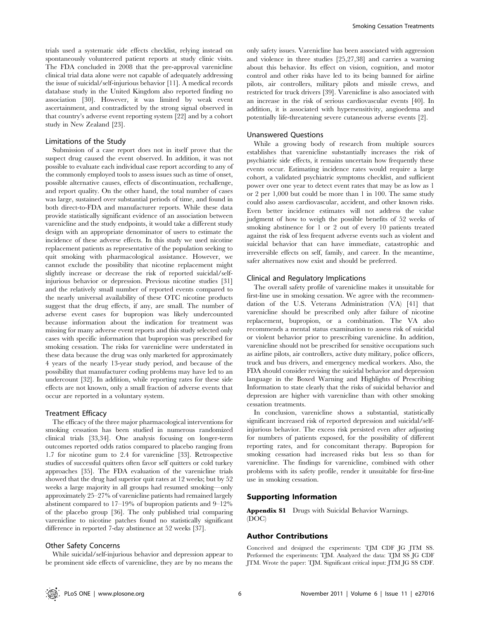trials used a systematic side effects checklist, relying instead on spontaneously volunteered patient reports at study clinic visits. The FDA concluded in 2008 that the pre-approval varenicline clinical trial data alone were not capable of adequately addressing the issue of suicidal/self-injurious behavior [11]. A medical records database study in the United Kingdom also reported finding no association [30]. However, it was limited by weak event ascertainment, and contradicted by the strong signal observed in that country's adverse event reporting system [22] and by a cohort study in New Zealand [23].

#### Limitations of the Study

Submission of a case report does not in itself prove that the suspect drug caused the event observed. In addition, it was not possible to evaluate each individual case report according to any of the commonly employed tools to assess issues such as time of onset, possible alternative causes, effects of discontinuation, rechallenge, and report quality. On the other hand, the total number of cases was large, sustained over substantial periods of time, and found in both direct-to-FDA and manufacturer reports. While these data provide statistically significant evidence of an association between varenicline and the study endpoints, it would take a different study design with an appropriate denominator of users to estimate the incidence of these adverse effects. In this study we used nicotine replacement patients as representative of the population seeking to quit smoking with pharmacological assistance. However, we cannot exclude the possibility that nicotine replacement might slightly increase or decrease the risk of reported suicidal/selfinjurious behavior or depression. Previous nicotine studies [31] and the relatively small number of reported events compared to the nearly universal availability of these OTC nicotine products suggest that the drug effects, if any, are small. The number of adverse event cases for bupropion was likely undercounted because information about the indication for treatment was missing for many adverse event reports and this study selected only cases with specific information that bupropion was prescribed for smoking cessation. The risks for varenicline were understated in these data because the drug was only marketed for approximately 4 years of the nearly 13-year study period, and because of the possibility that manufacturer coding problems may have led to an undercount [32]. In addition, while reporting rates for these side effects are not known, only a small fraction of adverse events that occur are reported in a voluntary system.

### Treatment Efficacy

The efficacy of the three major pharmacological interventions for smoking cessation has been studied in numerous randomized clinical trials [33,34]. One analysis focusing on longer-term outcomes reported odds ratios compared to placebo ranging from 1.7 for nicotine gum to 2.4 for varenicline [33]. Retrospective studies of successful quitters often favor self quitters or cold turkey approaches [35]. The FDA evaluation of the varenicline trials showed that the drug had superior quit rates at 12 weeks; but by 52 weeks a large majority in all groups had resumed smoking—only approximately 25–27% of varenicline patients had remained largely abstinent compared to 17–19% of bupropion patients and 9–12% of the placebo group [36]. The only published trial comparing varenicline to nicotine patches found no statistically significant difference in reported 7-day abstinence at 52 weeks [37].

## Other Safety Concerns

While suicidal/self-injurious behavior and depression appear to be prominent side effects of varenicline, they are by no means the

only safety issues. Varenicline has been associated with aggression and violence in three studies [25,27,38] and carries a warning about this behavior. Its effect on vision, cognition, and motor control and other risks have led to its being banned for airline pilots, air controllers, military pilots and missile crews, and restricted for truck drivers [39]. Varenicline is also associated with an increase in the risk of serious cardiovascular events [40]. In addition, it is associated with hypersensitivity, angioedema and potentially life-threatening severe cutaneous adverse events [2].

## Unanswered Questions

While a growing body of research from multiple sources establishes that varenicline substantially increases the risk of psychiatric side effects, it remains uncertain how frequently these events occur. Estimating incidence rates would require a large cohort, a validated psychiatric symptoms checklist, and sufficient power over one year to detect event rates that may be as low as 1 or 2 per 1,000 but could be more than 1 in 100. The same study could also assess cardiovascular, accident, and other known risks. Even better incidence estimates will not address the value judgment of how to weigh the possible benefits of 52 weeks of smoking abstinence for 1 or 2 out of every 10 patients treated against the risk of less frequent adverse events such as violent and suicidal behavior that can have immediate, catastrophic and irreversible effects on self, family, and career. In the meantime, safer alternatives now exist and should be preferred.

#### Clinical and Regulatory Implications

The overall safety profile of varenicline makes it unsuitable for first-line use in smoking cessation. We agree with the recommendation of the U.S. Veterans Administration (VA) [41] that varenicline should be prescribed only after failure of nicotine replacement, bupropion, or a combination. The VA also recommends a mental status examination to assess risk of suicidal or violent behavior prior to prescribing varenicline. In addition, varenicline should not be prescribed for sensitive occupations such as airline pilots, air controllers, active duty military, police officers, truck and bus drivers, and emergency medical workers. Also, the FDA should consider revising the suicidal behavior and depression language in the Boxed Warning and Highlights of Prescribing Information to state clearly that the risks of suicidal behavior and depression are higher with varenicline than with other smoking cessation treatments.

In conclusion, varenicline shows a substantial, statistically significant increased risk of reported depression and suicidal/selfinjurious behavior. The excess risk persisted even after adjusting for numbers of patients exposed, for the possibility of different reporting rates, and for concomitant therapy. Bupropion for smoking cessation had increased risks but less so than for varenicline. The findings for varenicline, combined with other problems with its safety profile, render it unsuitable for first-line use in smoking cessation.

## Supporting Information

Appendix S1 Drugs with Suicidal Behavior Warnings. (DOC)

## Author Contributions

Conceived and designed the experiments: TJM CDF JG JTM SS. Performed the experiments: TJM. Analyzed the data: TJM SS JG CDF JTM. Wrote the paper: TJM. Significant critical input: JTM JG SS CDF.